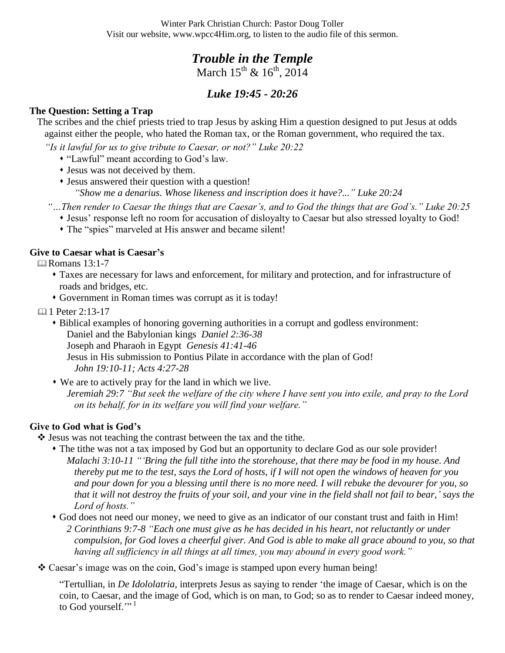Winter Park Christian Church: Pastor Doug Toller Visit our website, www.wpcc4Him.org, to listen to the audio file of this sermon.

## *Trouble in the Temple* March  $15^{th}$  &  $16^{th}$ ,  $2014$

# *Luke 19:45 - 20:26*

### **The Question: Setting a Trap**

The scribes and the chief priests tried to trap Jesus by asking Him a question designed to put Jesus at odds against either the people, who hated the Roman tax, or the Roman government, who required the tax.

*"Is it lawful for us to give tribute to Caesar, or not?" Luke 20:22*

"Lawful" meant according to God"s law.

Jesus was not deceived by them.

 Jesus answered their question with a question! *"Show me a denarius. Whose likeness and inscription does it have?..." Luke 20:24* 

*"…Then render to Caesar the things that are Caesar"s, and to God the things that are God"s." Luke 20:25*

- Jesus" response left no room for accusation of disloyalty to Caesar but also stressed loyalty to God!
- The "spies" marveled at His answer and became silent!

#### **Give to Caesar what is Caesar's**

**Example 13:1-7** 

- Taxes are necessary for laws and enforcement, for military and protection, and for infrastructure of roads and bridges, etc.
- Government in Roman times was corrupt as it is today!

1 Peter 2:13-17

- Biblical examples of honoring governing authorities in a corrupt and godless environment: Daniel and the Babylonian kings *Daniel 2:36-38* Joseph and Pharaoh in Egypt *Genesis 41:41-46* Jesus in His submission to Pontius Pilate in accordance with the plan of God! *John 19:10-11; Acts 4:27-28*
- We are to actively pray for the land in which we live.
	- *Jeremiah 29:7 "But seek the welfare of the city where I have sent you into exile, and pray to the Lord on its behalf, for in its welfare you will find your welfare."*

### **Give to God what is God's**

 $\triangle$  Jesus was not teaching the contrast between the tax and the tithe.

- The tithe was not a tax imposed by God but an opportunity to declare God as our sole provider! *Malachi 3:10-11 ""Bring the full tithe into the storehouse, that there may be food in my house. And thereby put me to the test, says the Lord of hosts, if I will not open the windows of heaven for you and pour down for you a blessing until there is no more need. I will rebuke the devourer for you, so that it will not destroy the fruits of your soil, and your vine in the field shall not fail to bear," says the Lord of hosts."*
- God does not need our money, we need to give as an indicator of our constant trust and faith in Him! *2 Corinthians 9:7-8 "Each one must give as he has decided in his heart, not reluctantly or under compulsion, for God loves a cheerful giver. And God is able to make all grace abound to you, so that having all sufficiency in all things at all times, you may abound in every good work."*

Caesar"s image was on the coin, God"s image is stamped upon every human being!

"Tertullian, in *De Idololatria*, interprets Jesus as saying to render "the image of Caesar, which is on the coin, to Caesar, and the image of God, which is on man, to God; so as to render to Caesar indeed money, to God yourself."<sup>1</sup>